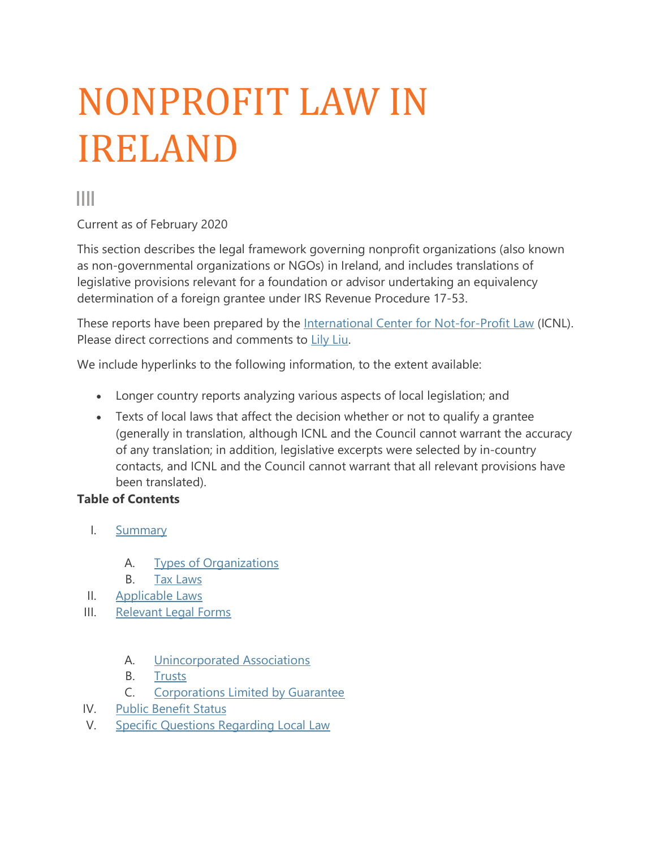# NONPROFIT LAW IN IRELAND

Ш

Current as of February 2020

This section describes the legal framework governing nonprofit organizations (also known as non-governmental organizations or NGOs) in Ireland, and includes translations of legislative provisions relevant for a foundation or advisor undertaking an equivalency determination of a foreign grantee under IRS Revenue Procedure 17-53.

These reports have been prepared by the [International Center for Not-for-Profit Law](http://www.icnl.org/) (ICNL). Please direct corrections and comments to [Lily Liu.](mailto:lliu@icnl.org)

We include hyperlinks to the following information, to the extent available:

- Longer country reports analyzing various aspects of local legislation; and
- Texts of local laws that affect the decision whether or not to qualify a grantee (generally in translation, although ICNL and the Council cannot warrant the accuracy of any translation; in addition, legislative excerpts were selected by in-country contacts, and ICNL and the Council cannot warrant that all relevant provisions have been translated).

#### **Table of Contents**

- I. [Summary](https://www.cof.org/country-notes/nonprofit-law-ireland#Summary)
	- A. [Types of Organizations](https://www.cof.org/country-notes/nonprofit-law-ireland#Types)
	- B. [Tax Laws](https://www.cof.org/country-notes/nonprofit-law-ireland#Tax_laws)
- II. [Applicable Laws](https://www.cof.org/country-notes/nonprofit-law-ireland#Applicable_Laws)
- III. [Relevant Legal Forms](https://www.cof.org/country-notes/nonprofit-law-ireland#Legal_Forms)
	- A. [Unincorporated Associations](https://www.cof.org/country-notes/nonprofit-law-ireland#unincorporated)
	- B. [Trusts](https://www.cof.org/country-notes/nonprofit-law-ireland#trusts)
	- C. [Corporations Limited by Guarantee](https://www.cof.org/country-notes/nonprofit-law-ireland#limited_corporations)
- IV. [Public Benefit Status](https://www.cof.org/country-notes/nonprofit-law-ireland#Public_Benefit_Status)
- V. [Specific Questions Regarding Local Law](https://www.cof.org/country-notes/nonprofit-law-ireland#Specific_Questions)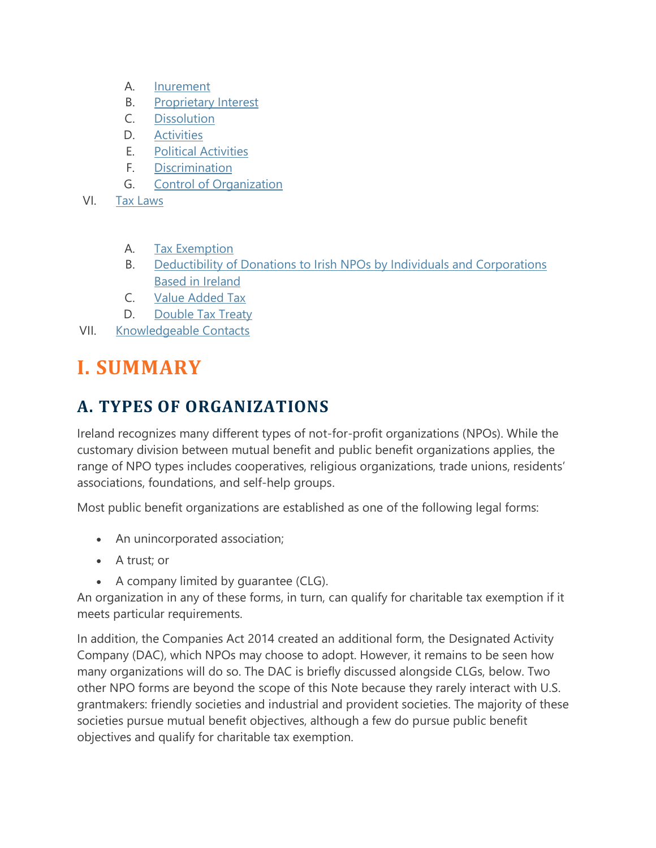- A. [Inurement](https://www.cof.org/country-notes/nonprofit-law-ireland#Inurement)
- B. [Proprietary Interest](https://www.cof.org/country-notes/nonprofit-law-ireland#Proprietary)
- C. [Dissolution](https://www.cof.org/country-notes/nonprofit-law-ireland#Dissolution)
- D. [Activities](https://www.cof.org/country-notes/nonprofit-law-ireland#Activities)
- E. [Political Activities](https://www.cof.org/country-notes/nonprofit-law-ireland#Political)
- F. [Discrimination](https://www.cof.org/country-notes/nonprofit-law-ireland#Discrimination)
- G. [Control of Organization](https://www.cof.org/country-notes/nonprofit-law-ireland#Control)
- VI. [Tax Laws](https://www.cof.org/country-notes/nonprofit-law-ireland#Laws#Laws)
	- A. [Tax Exemption](https://www.cof.org/country-notes/nonprofit-law-ireland#exemption)
	- B. [Deductibility of Donations to Irish NPOs by Individuals and Corporations](https://www.cof.org/country-notes/nonprofit-law-ireland#deductibility)  [Based in Ireland](https://www.cof.org/country-notes/nonprofit-law-ireland#deductibility)
	- C. [Value Added Tax](https://www.cof.org/country-notes/nonprofit-law-ireland#vat)
	- D. [Double Tax Treaty](https://www.cof.org/country-notes/nonprofit-law-ireland#double)
- VII. [Knowledgeable Contacts](https://www.cof.org/country-notes/nonprofit-law-ireland#Knowledgeable_Contacts)

# **I. SUMMARY**

#### **A. TYPES OF ORGANIZATIONS**

Ireland recognizes many different types of not-for-profit organizations (NPOs). While the customary division between mutual benefit and public benefit organizations applies, the range of NPO types includes cooperatives, religious organizations, trade unions, residents' associations, foundations, and self-help groups.

Most public benefit organizations are established as one of the following legal forms:

- An unincorporated association;
- A trust; or
- A company limited by guarantee (CLG).

An organization in any of these forms, in turn, can qualify for charitable tax exemption if it meets particular requirements.

In addition, the Companies Act 2014 created an additional form, the Designated Activity Company (DAC), which NPOs may choose to adopt. However, it remains to be seen how many organizations will do so. The DAC is briefly discussed alongside CLGs, below. Two other NPO forms are beyond the scope of this Note because they rarely interact with U.S. grantmakers: friendly societies and industrial and provident societies. The majority of these societies pursue mutual benefit objectives, although a few do pursue public benefit objectives and qualify for charitable tax exemption.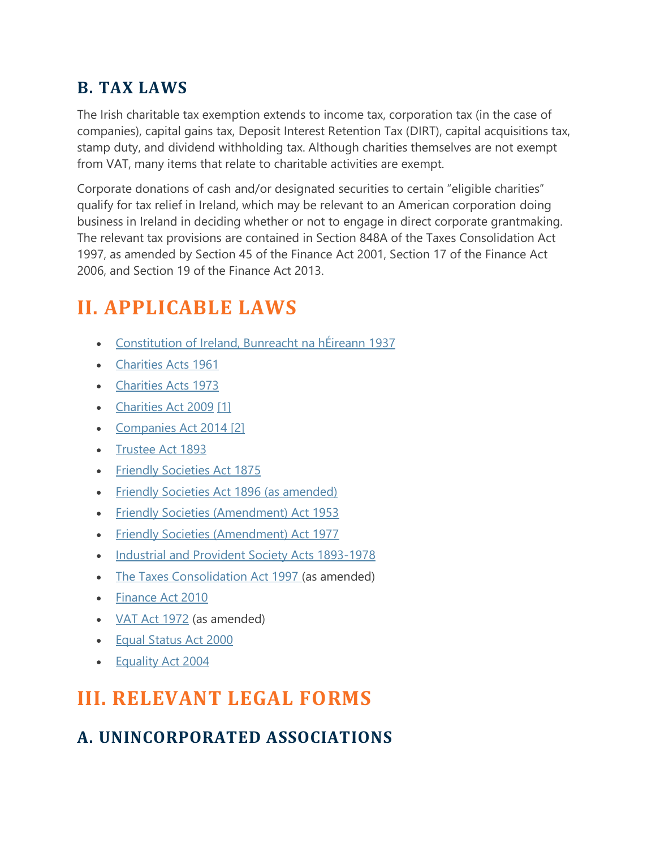#### **B. TAX LAWS**

The Irish charitable tax exemption extends to income tax, corporation tax (in the case of companies), capital gains tax, Deposit Interest Retention Tax (DIRT), capital acquisitions tax, stamp duty, and dividend withholding tax. Although charities themselves are not exempt from VAT, many items that relate to charitable activities are exempt.

Corporate donations of cash and/or designated securities to certain "eligible charities" qualify for tax relief in Ireland, which may be relevant to an American corporation doing business in Ireland in deciding whether or not to engage in direct corporate grantmaking. The relevant tax provisions are contained in Section 848A of the Taxes Consolidation Act 1997, as amended by Section 45 of the Finance Act 2001, Section 17 of the Finance Act 2006, and Section 19 of the Finance Act 2013.

## **II. APPLICABLE LAWS**

- [Constitution of Ireland, Bunreacht na hÉireann 1937](http://www.usig.org/countryinfo/laws/Ireland/Constitution%20of%20Ireland.pdf)
- [Charities Acts 1961](http://www.irishstatutebook.ie/eli/1961/act/17/enacted/en/html)
- [Charities Acts 1973](http://www.irishstatutebook.ie/1973/en/act/pub/0013/index.html)
- [Charities Act 2009](http://www.irishstatutebook.ie/pdf/2009/en.act.2009.0006.pdf) [\[1\]](https://www.cof.org/country-notes/ireland#_end1)
- [Companies Act 2014](http://www.irishstatutebook.ie/eli/2014/act/38/enacted/en/html) [\[2\]](https://www.cof.org/country-notes/ireland#_end2)
- [Trustee Act 1893](http://www.irishstatutebook.ie/eli/1893/act/53/enacted/en/print.html)
- [Friendly Societies Act 1875](http://books.google.com/books?id=948DAAAAQAAJ&dq=Friendly+Societies+Acts&printsec=frontcover&source=bl&ots=MlDElxiGsn&sig=8t2u2ocshZEocyk8-kFSoWeGhnA&hl=en&ei=vOIjSoaTN5mCtgOm7dH0Aw&sa=X&oi=book_result&ct=result&resnum=3#PPA7,M1)
- [Friendly Societies Act 1896 \(as amended\)](http://www.opsi.gov.uk/RevisedStatutes/Acts/ukpga/1896/cukpga_18960025_en_1)
- [Friendly Societies \(Amendment\) Act 1953](http://www.irishstatutebook.ie/eli/1953/act/28/enacted/en/print.html)
- [Friendly Societies \(Amendment\) Act 1977](http://www.irishstatutebook.ie/eli/1977/act/17/enacted/en/print.html)
- [Industrial and Provident Society Acts 1893-1978](http://www.usig.org/countryinfo/laws/Ireland/Industrial%20and%20Provident%20Society%20Acts%201978.pdf)
- [The Taxes Consolidation Act 1997](http://www.irishstatutebook.ie/eli/1997/act/39/enacted/en/print.html) (as amended)
- [Finance Act 2010](http://www.irishstatutebook.ie/eli/2010/act/5/enacted/en/print.html)
- [VAT Act 1972](http://www.usig.org/countryinfo/laws/Ireland/VAT%20Act%201972.pdf) (as amended)
- [Equal Status Act 2000](http://www.irishstatutebook.ie/2000/en/act/pub/0008/index.html)
- [Equality Act 2004](http://www.irishstatutebook.ie/2004/en/act/pub/0024/index.html)

## **III. RELEVANT LEGAL FORMS**

## **A. UNINCORPORATED ASSOCIATIONS**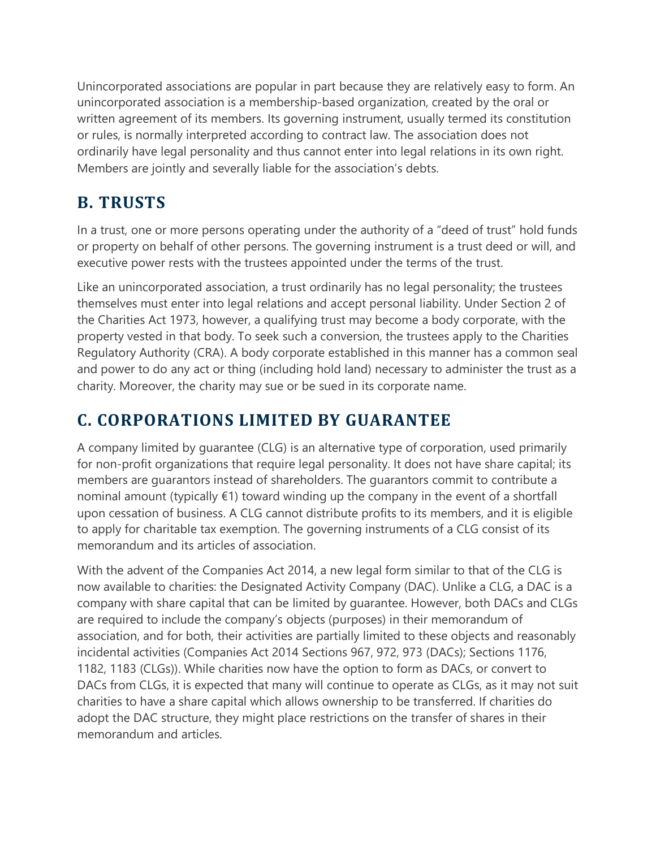Unincorporated associations are popular in part because they are relatively easy to form. An unincorporated association is a membership-based organization, created by the oral or written agreement of its members. Its governing instrument, usually termed its constitution or rules, is normally interpreted according to contract law. The association does not ordinarily have legal personality and thus cannot enter into legal relations in its own right. Members are jointly and severally liable for the association's debts.

#### **B. TRUSTS**

In a trust, one or more persons operating under the authority of a "deed of trust" hold funds or property on behalf of other persons. The governing instrument is a trust deed or will, and executive power rests with the trustees appointed under the terms of the trust.

Like an unincorporated association, a trust ordinarily has no legal personality; the trustees themselves must enter into legal relations and accept personal liability. Under Section 2 of the Charities Act 1973, however, a qualifying trust may become a body corporate, with the property vested in that body. To seek such a conversion, the trustees apply to the Charities Regulatory Authority (CRA). A body corporate established in this manner has a common seal and power to do any act or thing (including hold land) necessary to administer the trust as a charity. Moreover, the charity may sue or be sued in its corporate name.

## **C. CORPORATIONS LIMITED BY GUARANTEE**

A company limited by guarantee (CLG) is an alternative type of corporation, used primarily for non-profit organizations that require legal personality. It does not have share capital; its members are guarantors instead of shareholders. The guarantors commit to contribute a nominal amount (typically €1) toward winding up the company in the event of a shortfall upon cessation of business. A CLG cannot distribute profits to its members, and it is eligible to apply for charitable tax exemption. The governing instruments of a CLG consist of its memorandum and its articles of association.

With the advent of the Companies Act 2014, a new legal form similar to that of the CLG is now available to charities: the Designated Activity Company (DAC). Unlike a CLG, a DAC is a company with share capital that can be limited by guarantee. However, both DACs and CLGs are required to include the company's objects (purposes) in their memorandum of association, and for both, their activities are partially limited to these objects and reasonably incidental activities (Companies Act 2014 Sections 967, 972, 973 (DACs); Sections 1176, 1182, 1183 (CLGs)). While charities now have the option to form as DACs, or convert to DACs from CLGs, it is expected that many will continue to operate as CLGs, as it may not suit charities to have a share capital which allows ownership to be transferred. If charities do adopt the DAC structure, they might place restrictions on the transfer of shares in their memorandum and articles.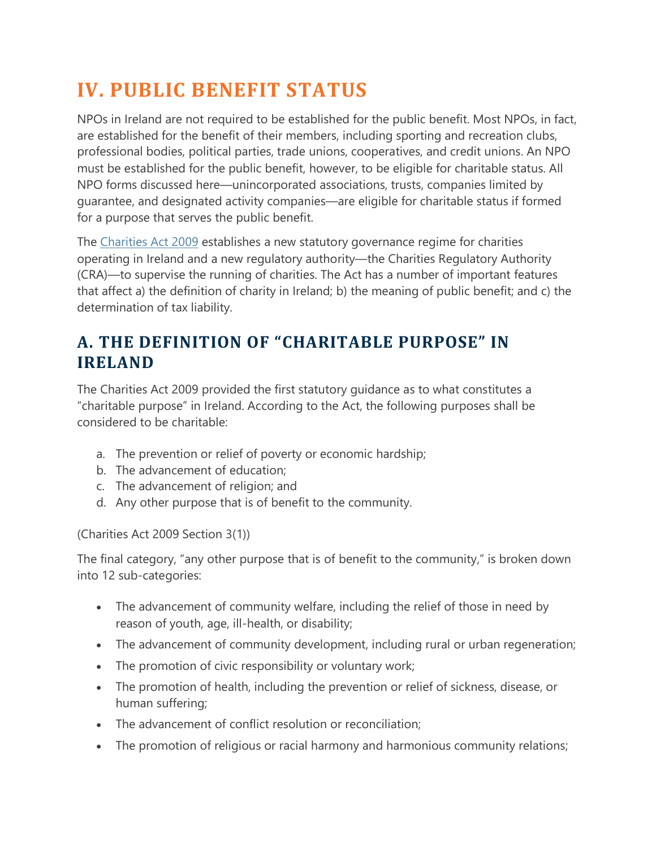## **IV. PUBLIC BENEFIT STATUS**

NPOs in Ireland are not required to be established for the public benefit. Most NPOs, in fact, are established for the benefit of their members, including sporting and recreation clubs, professional bodies, political parties, trade unions, cooperatives, and credit unions. An NPO must be established for the public benefit, however, to be eligible for charitable status. All NPO forms discussed here—unincorporated associations, trusts, companies limited by guarantee, and designated activity companies—are eligible for charitable status if formed for a purpose that serves the public benefit.

The [Charities Act 2009](http://www.irishstatutebook.ie/eli/2009/act/6/enacted/en/html) establishes a new statutory governance regime for charities operating in Ireland and a new regulatory authority—the Charities Regulatory Authority (CRA)—to supervise the running of charities. The Act has a number of important features that affect a) the definition of charity in Ireland; b) the meaning of public benefit; and c) the determination of tax liability.

#### **A. THE DEFINITION OF "CHARITABLE PURPOSE" IN IRELAND**

The Charities Act 2009 provided the first statutory guidance as to what constitutes a "charitable purpose" in Ireland. According to the Act, the following purposes shall be considered to be charitable:

- a. The prevention or relief of poverty or economic hardship;
- b. The advancement of education;
- c. The advancement of religion; and
- d. Any other purpose that is of benefit to the community.

(Charities Act 2009 Section 3(1))

The final category, "any other purpose that is of benefit to the community," is broken down into 12 sub-categories:

- The advancement of community welfare, including the relief of those in need by reason of youth, age, ill-health, or disability;
- The advancement of community development, including rural or urban regeneration;
- The promotion of civic responsibility or voluntary work;
- The promotion of health, including the prevention or relief of sickness, disease, or human suffering;
- The advancement of conflict resolution or reconciliation;
- The promotion of religious or racial harmony and harmonious community relations;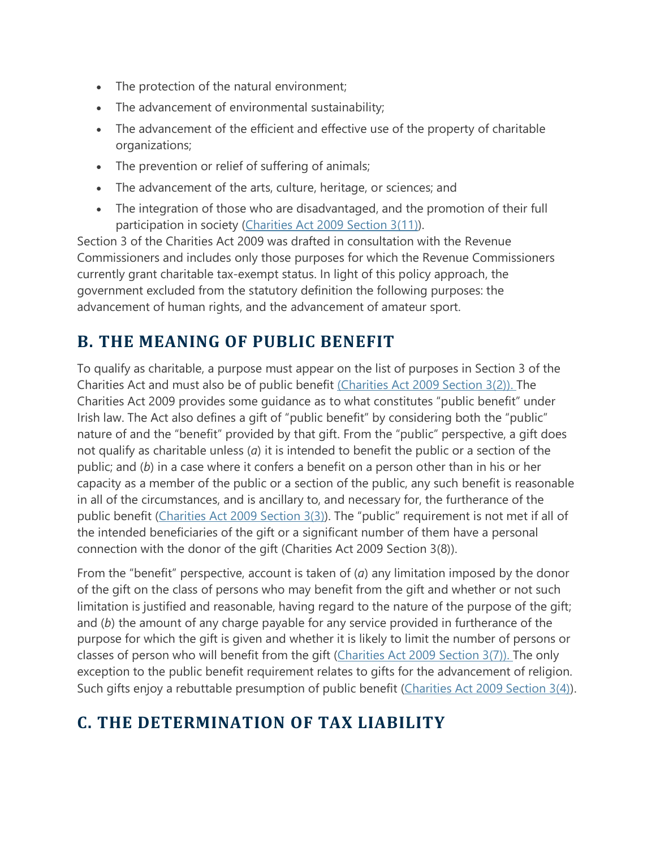- The protection of the natural environment;
- The advancement of environmental sustainability;
- The advancement of the efficient and effective use of the property of charitable organizations;
- The prevention or relief of suffering of animals;
- The advancement of the arts, culture, heritage, or sciences; and
- The integration of those who are disadvantaged, and the promotion of their full participation in society [\(Charities Act 2009 Section 3\(11\)\)](http://www.irishstatutebook.ie/eli/2009/act/6/enacted/en/html).

Section 3 of the Charities Act 2009 was drafted in consultation with the Revenue Commissioners and includes only those purposes for which the Revenue Commissioners currently grant charitable tax-exempt status. In light of this policy approach, the government excluded from the statutory definition the following purposes: the advancement of human rights, and the advancement of amateur sport.

#### **B. THE MEANING OF PUBLIC BENEFIT**

To qualify as charitable, a purpose must appear on the list of purposes in Section 3 of the Charities Act and must also be of public benefit [\(Charities Act 2009 Section 3\(2\)\).](http://www.irishstatutebook.ie/eli/2009/act/6/enacted/en/html) The Charities Act 2009 provides some guidance as to what constitutes "public benefit" under Irish law. The Act also defines a gift of "public benefit" by considering both the "public" nature of and the "benefit" provided by that gift. From the "public" perspective, a gift does not qualify as charitable unless (*a*) it is intended to benefit the public or a section of the public; and (*b*) in a case where it confers a benefit on a person other than in his or her capacity as a member of the public or a section of the public, any such benefit is reasonable in all of the circumstances, and is ancillary to, and necessary for, the furtherance of the public benefit [\(Charities Act 2009 Section 3\(3\)\)](http://www.irishstatutebook.ie/eli/2009/act/6/enacted/en/html). The "public" requirement is not met if all of the intended beneficiaries of the gift or a significant number of them have a personal connection with the donor of the gift (Charities Act 2009 Section 3(8)).

From the "benefit" perspective, account is taken of (*a*) any limitation imposed by the donor of the gift on the class of persons who may benefit from the gift and whether or not such limitation is justified and reasonable, having regard to the nature of the purpose of the gift; and (*b*) the amount of any charge payable for any service provided in furtherance of the purpose for which the gift is given and whether it is likely to limit the number of persons or classes of person who will benefit from the gift [\(Charities Act 2009 Section 3\(7\)\).](http://www.irishstatutebook.ie/eli/2009/act/6/enacted/en/html) The only exception to the public benefit requirement relates to gifts for the advancement of religion. Such gifts enjoy a rebuttable presumption of public benefit [\(Charities Act 2009 Section 3\(4\)\)](http://www.irishstatutebook.ie/eli/2009/act/6/enacted/en/html).

## **C. THE DETERMINATION OF TAX LIABILITY**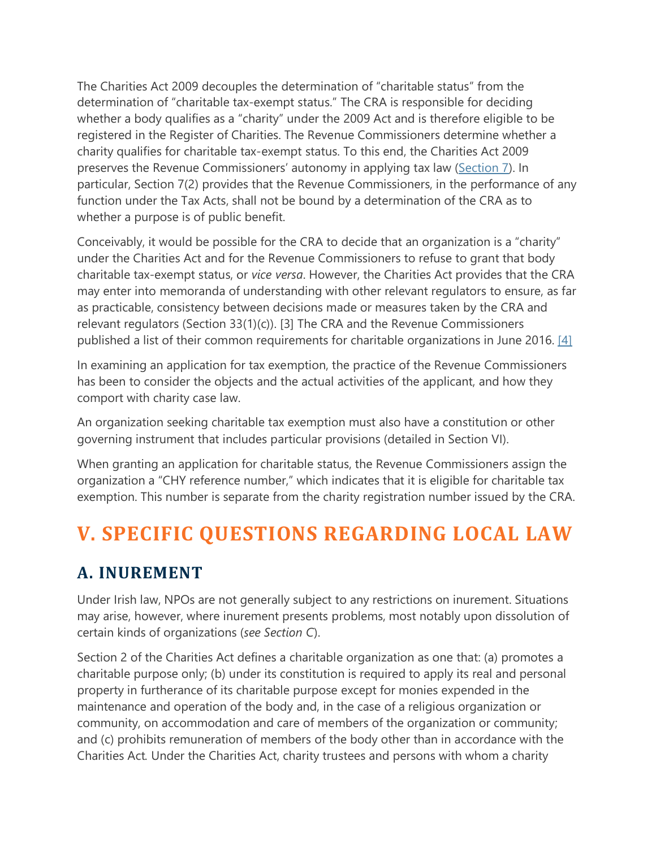The Charities Act 2009 decouples the determination of "charitable status" from the determination of "charitable tax-exempt status." The CRA is responsible for deciding whether a body qualifies as a "charity" under the 2009 Act and is therefore eligible to be registered in the Register of Charities. The Revenue Commissioners determine whether a charity qualifies for charitable tax-exempt status. To this end, the Charities Act 2009 preserves the Revenue Commissioners' autonomy in applying tax law [\(Section 7\)](http://www.irishstatutebook.ie/eli/2009/act/6/enacted/en/html). In particular, Section 7(2) provides that the Revenue Commissioners, in the performance of any function under the Tax Acts, shall not be bound by a determination of the CRA as to whether a purpose is of public benefit.

Conceivably, it would be possible for the CRA to decide that an organization is a "charity" under the Charities Act and for the Revenue Commissioners to refuse to grant that body charitable tax-exempt status, or *vice versa*. However, the Charities Act provides that the CRA may enter into memoranda of understanding with other relevant regulators to ensure, as far as practicable, consistency between decisions made or measures taken by the CRA and relevant regulators (Section 33(1)(c)). [3] The CRA and the Revenue Commissioners published a list of their common requirements for charitable organizations in June 2016. [\[4\]](https://www.cof.org/country-notes/nonprofit-law-ireland#_end3)

In examining an application for tax exemption, the practice of the Revenue Commissioners has been to consider the objects and the actual activities of the applicant, and how they comport with charity case law.

An organization seeking charitable tax exemption must also have a constitution or other governing instrument that includes particular provisions (detailed in Section VI).

When granting an application for charitable status, the Revenue Commissioners assign the organization a "CHY reference number," which indicates that it is eligible for charitable tax exemption. This number is separate from the charity registration number issued by the CRA.

# **V. SPECIFIC QUESTIONS REGARDING LOCAL LAW**

#### **A. INUREMENT**

Under Irish law, NPOs are not generally subject to any restrictions on inurement. Situations may arise, however, where inurement presents problems, most notably upon dissolution of certain kinds of organizations (*see Section C*).

Section 2 of the Charities Act defines a charitable organization as one that: (a) promotes a charitable purpose only; (b) under its constitution is required to apply its real and personal property in furtherance of its charitable purpose except for monies expended in the maintenance and operation of the body and, in the case of a religious organization or community, on accommodation and care of members of the organization or community; and (c) prohibits remuneration of members of the body other than in accordance with the Charities Act*.* Under the Charities Act, charity trustees and persons with whom a charity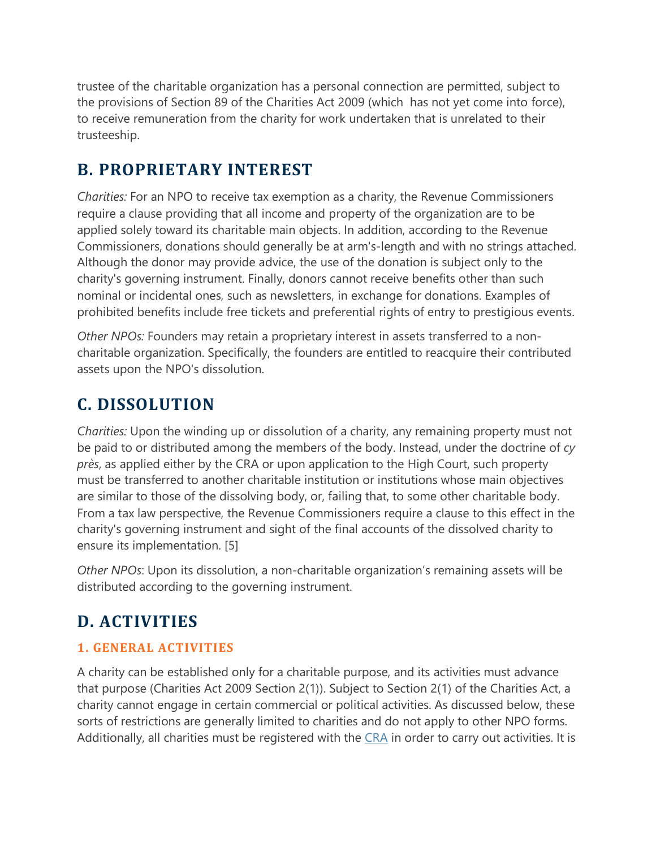trustee of the charitable organization has a personal connection are permitted, subject to the provisions of Section 89 of the Charities Act 2009 (which has not yet come into force), to receive remuneration from the charity for work undertaken that is unrelated to their trusteeship.

#### **B. PROPRIETARY INTEREST**

*Charities:* For an NPO to receive tax exemption as a charity, the Revenue Commissioners require a clause providing that all income and property of the organization are to be applied solely toward its charitable main objects. In addition, according to the Revenue Commissioners, donations should generally be at arm's-length and with no strings attached. Although the donor may provide advice, the use of the donation is subject only to the charity's governing instrument. Finally, donors cannot receive benefits other than such nominal or incidental ones, such as newsletters, in exchange for donations. Examples of prohibited benefits include free tickets and preferential rights of entry to prestigious events.

*Other NPOs:* Founders may retain a proprietary interest in assets transferred to a noncharitable organization. Specifically, the founders are entitled to reacquire their contributed assets upon the NPO's dissolution.

#### **C. DISSOLUTION**

*Charities:* Upon the winding up or dissolution of a charity, any remaining property must not be paid to or distributed among the members of the body. Instead, under the doctrine of *cy près*, as applied either by the CRA or upon application to the High Court, such property must be transferred to another charitable institution or institutions whose main objectives are similar to those of the dissolving body, or, failing that, to some other charitable body. From a tax law perspective, the Revenue Commissioners require a clause to this effect in the charity's governing instrument and sight of the final accounts of the dissolved charity to ensure its implementation. [5]

*Other NPOs*: Upon its dissolution, a non-charitable organization's remaining assets will be distributed according to the governing instrument.

## **D. ACTIVITIES**

#### **1. GENERAL ACTIVITIES**

A charity can be established only for a charitable purpose, and its activities must advance that purpose (Charities Act 2009 Section 2(1)). Subject to Section 2(1) of the Charities Act, a charity cannot engage in certain commercial or political activities. As discussed below, these sorts of restrictions are generally limited to charities and do not apply to other NPO forms. Additionally, all charities must be registered with the [CRA](http://www.charitiesregulatoryauthority.ie/Website/CRA/CRAweb.nsf/page/publicregister-reg-of-charities-en) in order to carry out activities. It is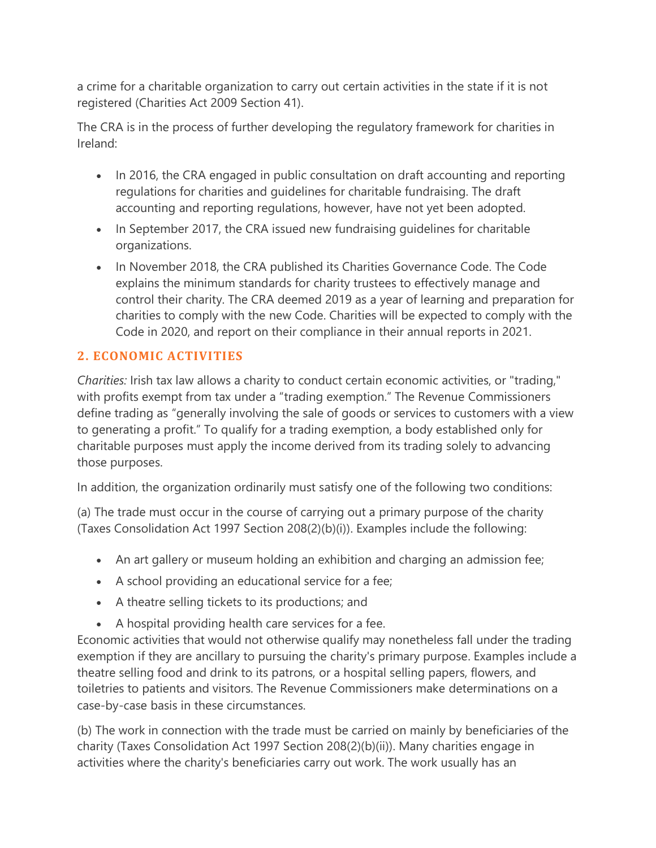a crime for a charitable organization to carry out certain activities in the state if it is not registered (Charities Act 2009 Section 41).

The CRA is in the process of further developing the regulatory framework for charities in Ireland:

- In 2016, the CRA engaged in public consultation on draft accounting and reporting regulations for charities and guidelines for charitable fundraising. The draft accounting and reporting regulations, however, have not yet been adopted.
- In September 2017, the CRA issued new fundraising guidelines for charitable organizations.
- In November 2018, the CRA published its Charities Governance Code. The Code explains the minimum standards for charity trustees to effectively manage and control their charity. The CRA deemed 2019 as a year of learning and preparation for charities to comply with the new Code. Charities will be expected to comply with the Code in 2020, and report on their compliance in their annual reports in 2021.

#### **2. ECONOMIC ACTIVITIES**

*Charities:* Irish tax law allows a charity to conduct certain economic activities, or "trading," with profits exempt from tax under a "trading exemption." The Revenue Commissioners define trading as "generally involving the sale of goods or services to customers with a view to generating a profit." To qualify for a trading exemption, a body established only for charitable purposes must apply the income derived from its trading solely to advancing those purposes.

In addition, the organization ordinarily must satisfy one of the following two conditions:

(a) The trade must occur in the course of carrying out a primary purpose of the charity (Taxes Consolidation Act 1997 Section 208(2)(b)(i)). Examples include the following:

- An art gallery or museum holding an exhibition and charging an admission fee;
- A school providing an educational service for a fee;
- A theatre selling tickets to its productions; and
- A hospital providing health care services for a fee.

Economic activities that would not otherwise qualify may nonetheless fall under the trading exemption if they are ancillary to pursuing the charity's primary purpose. Examples include a theatre selling food and drink to its patrons, or a hospital selling papers, flowers, and toiletries to patients and visitors. The Revenue Commissioners make determinations on a case-by-case basis in these circumstances.

(b) The work in connection with the trade must be carried on mainly by beneficiaries of the charity (Taxes Consolidation Act 1997 Section 208(2)(b)(ii)). Many charities engage in activities where the charity's beneficiaries carry out work. The work usually has an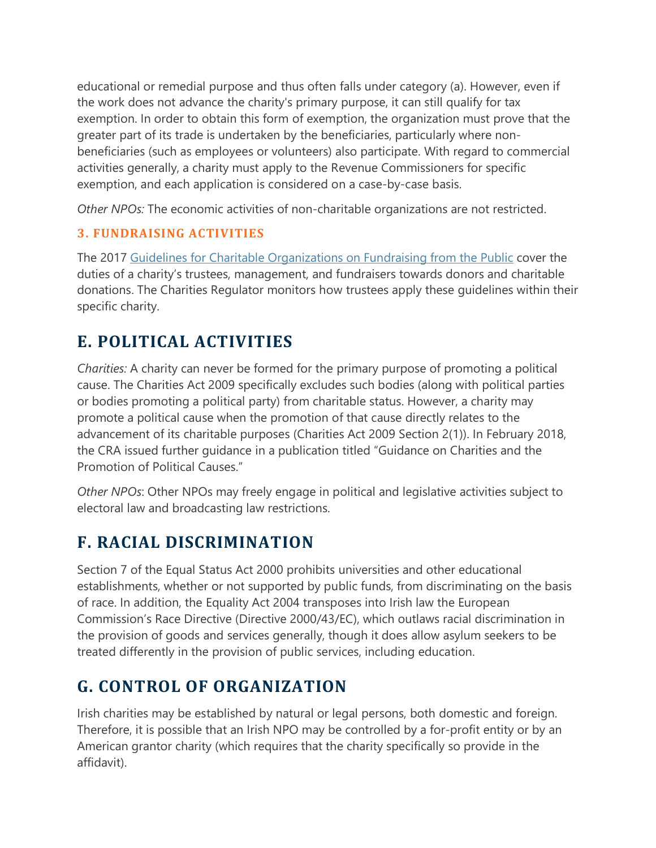educational or remedial purpose and thus often falls under category (a). However, even if the work does not advance the charity's primary purpose, it can still qualify for tax exemption. In order to obtain this form of exemption, the organization must prove that the greater part of its trade is undertaken by the beneficiaries, particularly where nonbeneficiaries (such as employees or volunteers) also participate. With regard to commercial activities generally, a charity must apply to the Revenue Commissioners for specific exemption, and each application is considered on a case-by-case basis.

*Other NPOs:* The economic activities of non-charitable organizations are not restricted.

#### **3. FUNDRAISING ACTIVITIES**

The 2017 Guidelines for Charitable [Organizations on Fundraising from the Public](https://static1.squarespace.com/static/57ff6b30bebafba9d10c7dcd/t/59cb7acbc534a512723748a7/1506507479316/Guidelines+Charitable+Organisations+on+Fundraising.pdf) cover the duties of a charity's trustees, management, and fundraisers towards donors and charitable donations. The Charities Regulator monitors how trustees apply these guidelines within their specific charity.

## **E. POLITICAL ACTIVITIES**

*Charities:* A charity can never be formed for the primary purpose of promoting a political cause. The Charities Act 2009 specifically excludes such bodies (along with political parties or bodies promoting a political party) from charitable status. However, a charity may promote a political cause when the promotion of that cause directly relates to the advancement of its charitable purposes (Charities Act 2009 Section 2(1)). In February 2018, the CRA issued further guidance in a publication titled "Guidance on Charities and the Promotion of Political Causes."

*Other NPOs*: Other NPOs may freely engage in political and legislative activities subject to electoral law and broadcasting law restrictions.

## **F. RACIAL DISCRIMINATION**

Section 7 of the Equal Status Act 2000 prohibits universities and other educational establishments, whether or not supported by public funds, from discriminating on the basis of race. In addition, the Equality Act 2004 transposes into Irish law the European Commission's Race Directive (Directive 2000/43/EC), which outlaws racial discrimination in the provision of goods and services generally, though it does allow asylum seekers to be treated differently in the provision of public services, including education.

## **G. CONTROL OF ORGANIZATION**

Irish charities may be established by natural or legal persons, both domestic and foreign. Therefore, it is possible that an Irish NPO may be controlled by a for-profit entity or by an American grantor charity (which requires that the charity specifically so provide in the affidavit).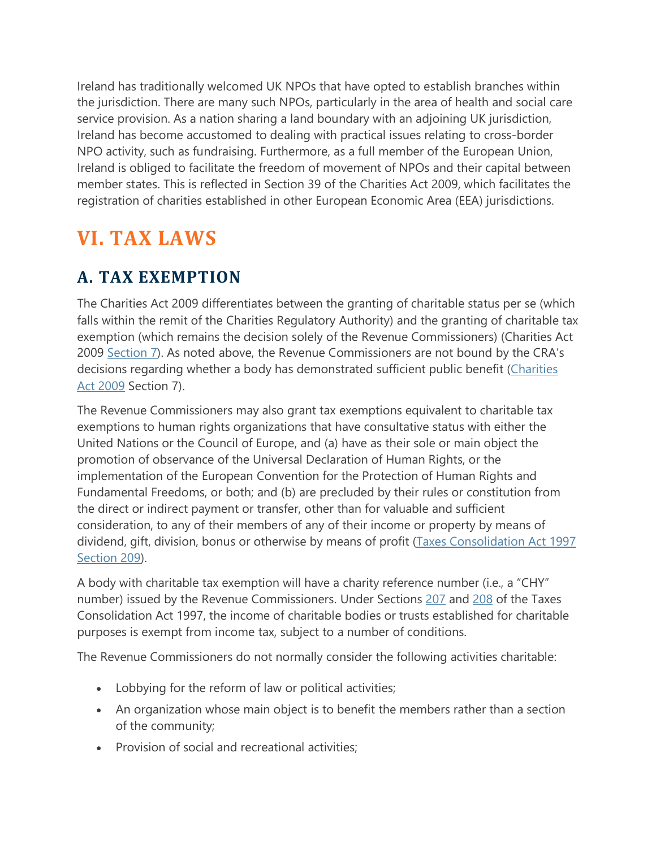Ireland has traditionally welcomed UK NPOs that have opted to establish branches within the jurisdiction. There are many such NPOs, particularly in the area of health and social care service provision. As a nation sharing a land boundary with an adjoining UK jurisdiction, Ireland has become accustomed to dealing with practical issues relating to cross-border NPO activity, such as fundraising. Furthermore, as a full member of the European Union, Ireland is obliged to facilitate the freedom of movement of NPOs and their capital between member states. This is reflected in Section 39 of the Charities Act 2009, which facilitates the registration of charities established in other European Economic Area (EEA) jurisdictions.

## **VI. TAX LAWS**

#### **A. TAX EXEMPTION**

The Charities Act 2009 differentiates between the granting of charitable status per se (which falls within the remit of the Charities Regulatory Authority) and the granting of charitable tax exemption (which remains the decision solely of the Revenue Commissioners) (Charities Act 2009 [Section 7\)](http://www.attorneygeneral.ie/eAct/2009/a609.pdf#page=14). As noted above, the Revenue Commissioners are not bound by the CRA's decisions regarding whether a body has demonstrated sufficient public benefit (Charities [Act 2009](http://www.attorneygeneral.ie/eAct/2009/a609.pdf#page=14) Section 7).

The Revenue Commissioners may also grant tax exemptions equivalent to charitable tax exemptions to human rights organizations that have consultative status with either the United Nations or the Council of Europe, and (a) have as their sole or main object the promotion of observance of the Universal Declaration of Human Rights, or the implementation of the European Convention for the Protection of Human Rights and Fundamental Freedoms, or both; and (b) are precluded by their rules or constitution from the direct or indirect payment or transfer, other than for valuable and sufficient consideration, to any of their members of any of their income or property by means of dividend, gift, division, bonus or otherwise by means of profit (Taxes Consolidation Act 1997 [Section 209\)](http://www.irishstatutebook.ie/1997/en/act/pub/0039/index.html).

A body with charitable tax exemption will have a charity reference number (i.e., a "CHY" number) issued by the Revenue Commissioners. Under Sections [207](http://www.irishstatutebook.ie/1997/en/act/pub/0039/sec0207.html#sec207) and [208](http://www.irishstatutebook.ie/1997/en/act/pub/0039/sec0208.html#sec208) of the Taxes Consolidation Act 1997, the income of charitable bodies or trusts established for charitable purposes is exempt from income tax, subject to a number of conditions.

The Revenue Commissioners do not normally consider the following activities charitable:

- Lobbying for the reform of law or political activities;
- An organization whose main object is to benefit the members rather than a section of the community;
- Provision of social and recreational activities;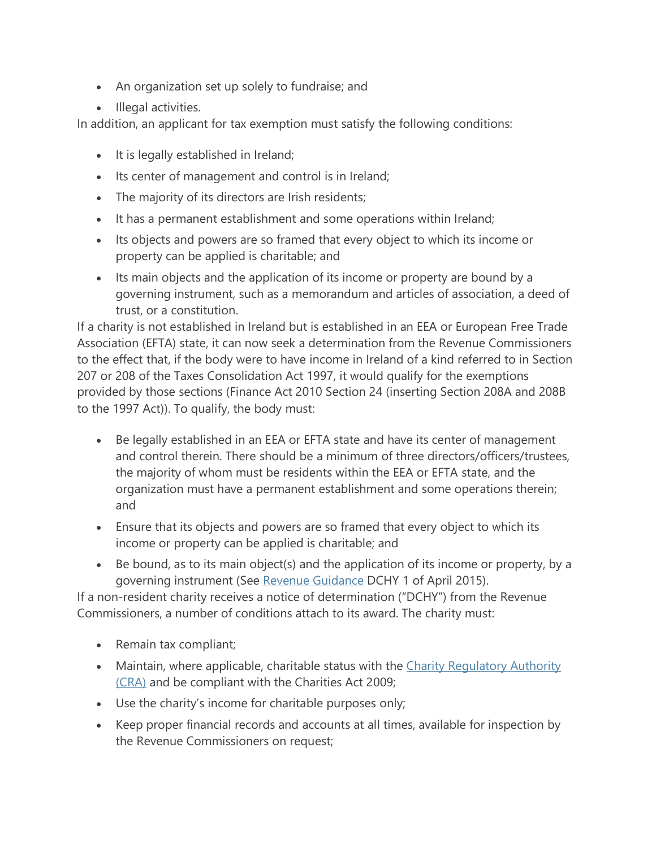- An organization set up solely to fundraise; and
- Illegal activities.

In addition, an applicant for tax exemption must satisfy the following conditions:

- It is legally established in Ireland;
- Its center of management and control is in Ireland;
- The majority of its directors are Irish residents;
- It has a permanent establishment and some operations within Ireland;
- Its objects and powers are so framed that every object to which its income or property can be applied is charitable; and
- Its main objects and the application of its income or property are bound by a governing instrument, such as a memorandum and articles of association, a deed of trust, or a constitution.

If a charity is not established in Ireland but is established in an EEA or European Free Trade Association (EFTA) state, it can now seek a determination from the Revenue Commissioners to the effect that, if the body were to have income in Ireland of a kind referred to in Section 207 or 208 of the Taxes Consolidation Act 1997, it would qualify for the exemptions provided by those sections (Finance Act 2010 Section 24 (inserting Section 208A and 208B to the 1997 Act)). To qualify, the body must:

- Be legally established in an EEA or EFTA state and have its center of management and control therein. There should be a minimum of three directors/officers/trustees, the majority of whom must be residents within the EEA or EFTA state, and the organization must have a permanent establishment and some operations therein; and
- Ensure that its objects and powers are so framed that every object to which its income or property can be applied is charitable; and
- Be bound, as to its main object(s) and the application of its income or property, by a governing instrument (See [Revenue Guidance](http://www.revenue.ie/en/tax/it/leaflets/dchy1.pdf) DCHY 1 of April 2015).

If a non-resident charity receives a notice of determination ("DCHY") from the Revenue Commissioners, a number of conditions attach to its award. The charity must:

- Remain tax compliant;
- Maintain, where applicable, charitable status with the Charity Regulatory Authority [\(CRA\)](http://www.charitiesregulatoryauthority.ie/) and be compliant with the Charities Act 2009;
- Use the charity's income for charitable purposes only;
- Keep proper financial records and accounts at all times, available for inspection by the Revenue Commissioners on request;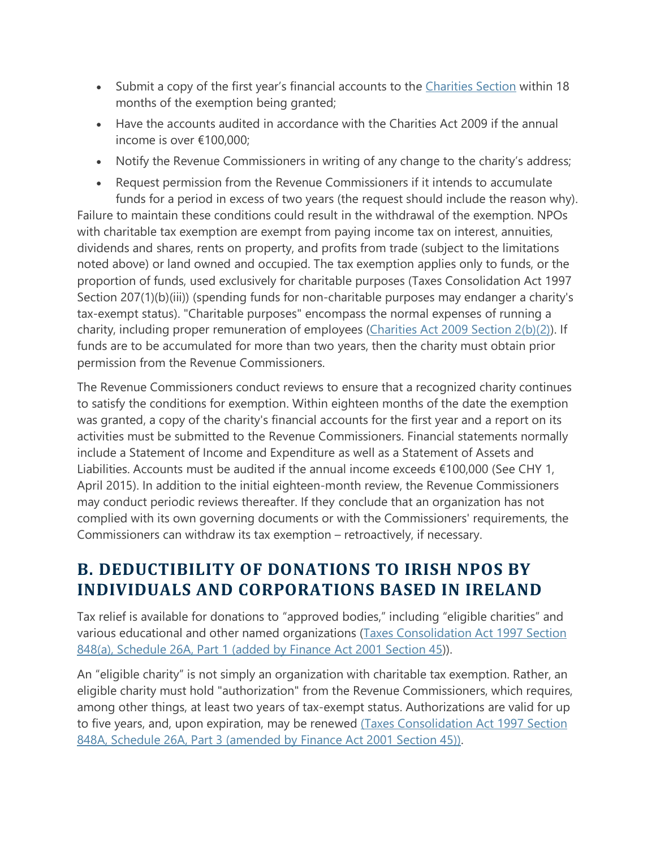- Submit a copy of the first year's financial accounts to the [Charities Section](https://www.revenue.ie/en/contact-us/details/index.aspx?code=0005&gcd=0001&idContent=57259) within 18 months of the exemption being granted;
- Have the accounts audited in accordance with the Charities Act 2009 if the annual income is over €100,000;
- Notify the Revenue Commissioners in writing of any change to the charity's address;
- Request permission from the Revenue Commissioners if it intends to accumulate funds for a period in excess of two years (the request should include the reason why). Failure to maintain these conditions could result in the withdrawal of the exemption. NPOs with charitable tax exemption are exempt from paying income tax on interest, annuities, dividends and shares, rents on property, and profits from trade (subject to the limitations noted above) or land owned and occupied. The tax exemption applies only to funds, or the proportion of funds, used exclusively for charitable purposes (Taxes Consolidation Act 1997 Section 207(1)(b)(iii)) (spending funds for non-charitable purposes may endanger a charity's tax-exempt status). "Charitable purposes" encompass the normal expenses of running a charity, including proper remuneration of employees [\(Charities Act 2009 Section 2\(b\)\(2\)\)](http://www.attorneygeneral.ie/eAct/2009/a609.pdf#page=8). If funds are to be accumulated for more than two years, then the charity must obtain prior permission from the Revenue Commissioners.

The Revenue Commissioners conduct reviews to ensure that a recognized charity continues to satisfy the conditions for exemption. Within eighteen months of the date the exemption was granted, a copy of the charity's financial accounts for the first year and a report on its activities must be submitted to the Revenue Commissioners. Financial statements normally include a Statement of Income and Expenditure as well as a Statement of Assets and Liabilities. Accounts must be audited if the annual income exceeds €100,000 (See CHY 1, April 2015). In addition to the initial eighteen-month review, the Revenue Commissioners may conduct periodic reviews thereafter. If they conclude that an organization has not complied with its own governing documents or with the Commissioners' requirements, the Commissioners can withdraw its tax exemption – retroactively, if necessary.

#### **B. DEDUCTIBILITY OF DONATIONS TO IRISH NPOS BY INDIVIDUALS AND CORPORATIONS BASED IN IRELAND**

Tax relief is available for donations to "approved bodies," including "eligible charities" and various educational and other named organizations [\(Taxes Consolidation Act 1997 Section](http://www.irishstatutebook.ie/2001/en/act/pub/0007/sec0045.html#parti-chapiii-sec45)  [848\(a\), Schedule 26A, Part 1 \(added by Finance Act 2001 Section 45\)](http://www.irishstatutebook.ie/2001/en/act/pub/0007/sec0045.html#parti-chapiii-sec45)).

An "eligible charity" is not simply an organization with charitable tax exemption. Rather, an eligible charity must hold "authorization" from the Revenue Commissioners, which requires, among other things, at least two years of tax-exempt status. Authorizations are valid for up to five years, and, upon expiration, may be renewed [\(Taxes Consolidation Act 1997 Section](http://www.irishstatutebook.ie/2001/en/act/pub/0007/sec0045.html#parti-chapiii-sec45)  [848A, Schedule 26A, Part 3 \(amended by Finance Act 2001 Section 45\)\).](http://www.irishstatutebook.ie/2001/en/act/pub/0007/sec0045.html#parti-chapiii-sec45)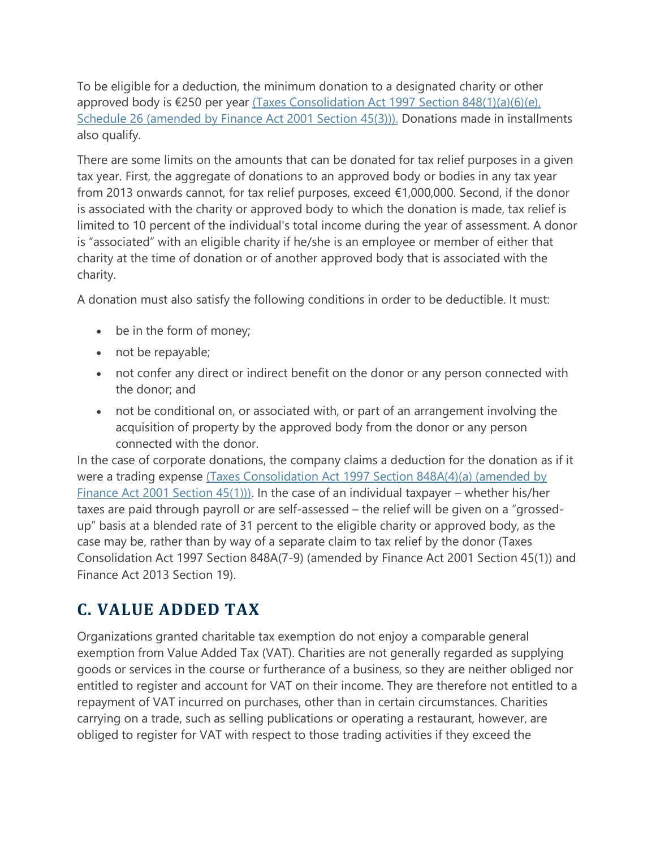To be eligible for a deduction, the minimum donation to a designated charity or other approved body is  $\epsilon$ 250 per year (Taxes Consolidation Act 1997 Section 848(1)(a)(6)(e), [Schedule 26 \(amended by Finance Act 2001 Section 45\(3\)\)\).](http://www.irishstatutebook.ie/2001/en/act/pub/0007/sec0045.html#parti-chapiii-sec45) Donations made in installments also qualify.

There are some limits on the amounts that can be donated for tax relief purposes in a given tax year. First, the aggregate of donations to an approved body or bodies in any tax year from 2013 onwards cannot, for tax relief purposes, exceed €1,000,000. Second, if the donor is associated with the charity or approved body to which the donation is made, tax relief is limited to 10 percent of the individual's total income during the year of assessment. A donor is "associated" with an eligible charity if he/she is an employee or member of either that charity at the time of donation or of another approved body that is associated with the charity.

A donation must also satisfy the following conditions in order to be deductible. It must:

- be in the form of money;
- not be repayable;
- not confer any direct or indirect benefit on the donor or any person connected with the donor; and
- not be conditional on, or associated with, or part of an arrangement involving the acquisition of property by the approved body from the donor or any person connected with the donor.

In the case of corporate donations, the company claims a deduction for the donation as if it were a trading expense [\(Taxes Consolidation Act 1997 Section 848A\(4\)\(a\) \(amended by](http://www.irishstatutebook.ie/2001/en/act/pub/0007/sec0045.html#parti-chapiii-sec45)  [Finance Act 2001 Section 45\(1\)\)\).](http://www.irishstatutebook.ie/2001/en/act/pub/0007/sec0045.html#parti-chapiii-sec45) In the case of an individual taxpayer – whether his/her taxes are paid through payroll or are self-assessed – the relief will be given on a "grossedup" basis at a blended rate of 31 percent to the eligible charity or approved body, as the case may be, rather than by way of a separate claim to tax relief by the donor (Taxes Consolidation Act 1997 Section 848A(7-9) (amended by Finance Act 2001 Section 45(1)) and Finance Act 2013 Section 19).

#### **C. VALUE ADDED TAX**

Organizations granted charitable tax exemption do not enjoy a comparable general exemption from Value Added Tax (VAT). Charities are not generally regarded as supplying goods or services in the course or furtherance of a business, so they are neither obliged nor entitled to register and account for VAT on their income. They are therefore not entitled to a repayment of VAT incurred on purchases, other than in certain circumstances. Charities carrying on a trade, such as selling publications or operating a restaurant, however, are obliged to register for VAT with respect to those trading activities if they exceed the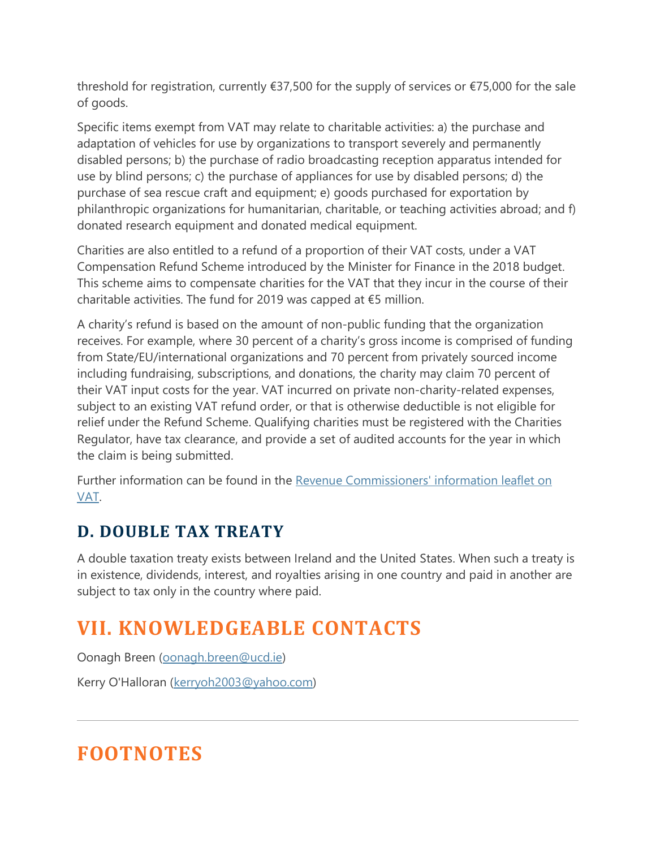threshold for registration, currently €37,500 for the supply of services or €75,000 for the sale of goods.

Specific items exempt from VAT may relate to charitable activities: a) the purchase and adaptation of vehicles for use by organizations to transport severely and permanently disabled persons; b) the purchase of radio broadcasting reception apparatus intended for use by blind persons; c) the purchase of appliances for use by disabled persons; d) the purchase of sea rescue craft and equipment; e) goods purchased for exportation by philanthropic organizations for humanitarian, charitable, or teaching activities abroad; and f) donated research equipment and donated medical equipment.

Charities are also entitled to a refund of a proportion of their VAT costs, under a VAT Compensation Refund Scheme introduced by the Minister for Finance in the 2018 budget. This scheme aims to compensate charities for the VAT that they incur in the course of their charitable activities. The fund for 2019 was capped at €5 million.

A charity's refund is based on the amount of non-public funding that the organization receives. For example, where 30 percent of a charity's gross income is comprised of funding from State/EU/international organizations and 70 percent from privately sourced income including fundraising, subscriptions, and donations, the charity may claim 70 percent of their VAT input costs for the year. VAT incurred on private non-charity-related expenses, subject to an existing VAT refund order, or that is otherwise deductible is not eligible for relief under the Refund Scheme. Qualifying charities must be registered with the Charities Regulator, have tax clearance, and provide a set of audited accounts for the year in which the claim is being submitted.

Further information can be found in the [Revenue Commissioners' information leaflet on](http://www.revenue.ie/en/tax/vat/leaflets/charities.html)  [VAT.](http://www.revenue.ie/en/tax/vat/leaflets/charities.html)

#### **D. DOUBLE TAX TREATY**

A double taxation treaty exists between Ireland and the United States. When such a treaty is in existence, dividends, interest, and royalties arising in one country and paid in another are subject to tax only in the country where paid.

## **VII. KNOWLEDGEABLE CONTACTS**

Oonagh Breen [\(oonagh.breen@ucd.ie\)](mailto:oonagh.breen@ucd.ie)

Kerry O'Halloran [\(kerryoh2003@yahoo.com\)](mailto:kerryoh2003@yahoo.com)

# **FOOTNOTES**